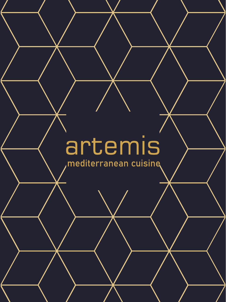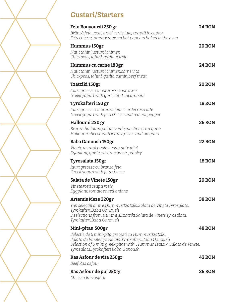# **Gustari/Starters**

| Feta Bouyourdi 250 gr<br>Brânză feta, roșii, ardei verde iute, coaptă în cuptor<br>Feta cheese, tomatoes, green hot peppers baked in the oven                                                                                                          | <b>24 RON</b> |
|--------------------------------------------------------------------------------------------------------------------------------------------------------------------------------------------------------------------------------------------------------|---------------|
| Hummus 150gr<br>Naut, tahini, usturoi, chimen<br>Chickpeas, tahini, garlic, cumin                                                                                                                                                                      | <b>20 RON</b> |
| Hummus cu carne 180gr<br>Naut, tahini, usturoi, chimen, carne vita<br>Chickpeas, tahini, garlic, cumin, beef meat                                                                                                                                      | <b>24 RON</b> |
| Tzatziki 150gr<br>Iaurt grecesc cu usturoi si castraveti<br>Greek yogurt with garlic and cucumbers                                                                                                                                                     | <b>20 RON</b> |
| Tyrokafteri 150 gr<br>Iaurt grecesc cu branza feta si ardei rosu iute<br>Greek yogurt with feta cheese and red hot pepper                                                                                                                              | <b>18 RON</b> |
| Halloumi 230 gr<br>Branza halloumi, salata verde, masline si oregano<br>Halloumi cheese with lettuce, olives and oregano                                                                                                                               | <b>26 RON</b> |
| <b>Baba Ganoush 150gr</b><br>Vinete, usturoi, pasta susan, patrunjel<br>Eggplant, garlic, sesame paste, parsley                                                                                                                                        | <b>22 RON</b> |
| Tyrosalata 150gr<br>Iaurt grecesc cu branza feta<br>Greek yogurt with feta cheese                                                                                                                                                                      | <b>18 RON</b> |
| Salata de Vinete 150gr<br>Vinete, rosii, ceapa rosie<br>Eggplant, tomatoes, red onions                                                                                                                                                                 | <b>20 RON</b> |
| <b>Artemis Meze 320gr</b><br>Trei selectiii dintre Hummus,Tzatziki,Salata de Vinete,Tyrosalata,<br>Tyrokafteri,Baba Ganoush<br>3 selections from Hummus, Tzatziki, Salata de Vinete, Tyrosalata,<br>Tyrokafteri, Baba Ganoush                          | <b>38 RON</b> |
| Mini-pitas 500gr<br>Selectie de 6 mini-pita grecesti cu Hummus,Tzatziki,<br>Salata de Vinete, Tyrosalata, Tyrokafteri, Baba Ganoush<br>Selection of 6 mini greek pitas with Hummus, Tzatziki, Salata de Vinete,<br>Tyrosalata,Tyrokafteri,Baba Ganoush | <b>48 RON</b> |
| Ras Asfour de vita 250gr                                                                                                                                                                                                                               | <b>42 RON</b> |
| Beef Ras asfour<br>Ras Asfour de pui 250gr<br>Chicken Ras asfour                                                                                                                                                                                       | <b>36 RON</b> |

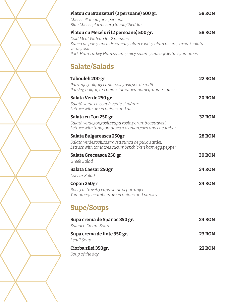## **Platou cu Branzeturi (2 persoane) 500 gr. 58 RON**

*Cheese Plateau for 2 persons Blue Cheese,Parmesan,Gouda,Cheddar*

## **Platou cu Mezeluri (2 persoane) 500 gr. 58 RON**

*Cold Meat Plateau for 2 persons Sunca de porc,sunca de curcan,salam rustic,salam picant,carnati,salata verde,rosii Pork Ham,Turkey Ham,salami,spicy salami,sausage,lettuce,tomatoes*

# **Salate/Salads**

| Tabouleh 200 gr<br>Patrunjel, bulgur, ceapa rosie, rosii, sos de rodii<br>Parsley, bulgur, red onion, tomatoes, pomegranate sauce                  | <b>22 RON</b> |
|----------------------------------------------------------------------------------------------------------------------------------------------------|---------------|
| Salata Verde 250 gr<br>Salată verde cu ceapă verde și mărar<br>Lettuce with green onions and dill                                                  | <b>20 RON</b> |
| Salata cu Ton 250 gr<br>Salată verde, ton, rosii, ceapa rosie, porumb, castraveti,<br>Lettuce with tuna, tomatoes, red onion, corn and cucumber    | <b>32 RON</b> |
| Salata Bulgareasca 250gr<br>Salata verde, rosii, castraveti, sunca de pui, ou, ardei,<br>Lettuce with tomatoes, cucumber, chicken ham, egg, pepper | <b>28 RON</b> |
| Salata Greceasca 250 gr<br>Greek Salad                                                                                                             | <b>30 RON</b> |
| Salata Caesar 250gr<br>Caesar Salad                                                                                                                | <b>34 RON</b> |
| Copan 250gr<br>Rosii, castraveti, ceapa verde si patrunjel<br>Tomatoes, cucumbers, green onions and parsley                                        | <b>24 RON</b> |
| <b>Supe/Soups</b>                                                                                                                                  |               |
| Supa crema de Spanac 350 gr.<br>Spinach Cream Soup                                                                                                 | <b>24 RON</b> |
| Supa crema de linte 350 gr.<br>Lentil Soup                                                                                                         | <b>23 RON</b> |
| Ciorba zilei 350gr.<br>Soup of the day                                                                                                             | <b>22 RON</b> |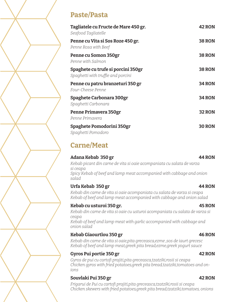# **Paste/Pasta**

| Tagliatele cu Fructe de Mare 450 gr.<br>Seafood Tagliatelle              | <b>42 RON</b> |
|--------------------------------------------------------------------------|---------------|
| Penne cu Vita și Sos Roze 450 gr.<br>Penne Rosa with Beef                | <b>38 RON</b> |
| Penne cu Somon 350gr<br>Penne with Salmon                                | <b>38 RON</b> |
| Spaghete cu trufe si porcini 350gr<br>Spaghetti with truffle and porcini | <b>38 RON</b> |
| Penne cu patru branzeturi 350 gr<br>Four-Cheese Penne                    | <b>34 RON</b> |
| Spaghete Carbonara 300gr<br>Spaghetti Carbonara                          | <b>34 RON</b> |
| Penne Primavera 350gr<br>Penne Primavera                                 | <b>32 RON</b> |
| Spaghete Pomodorini 350gr<br>Spaghetti Pomodoro                          | <b>30 RON</b> |

# **Carne/Meat**

## **Adana Kebab 350 gr 44 RON**

*Kebab picant din carne de vita si oaie acompaniata cu salata de varza si ceapa Spicy Kebab of beef and lamp meat accompanied with cabbage and onion salad*

## **Urfa Kebab 350 gr 44 RON**

*Kebab din carne de vita si oaie acompaniata cu salata de varza si ceapa Kebab of beef and lamp meat accompanied with cabbage and onion salad*

## **Kebab cu usturoi 350 gr. 45 RON**

*Kebab din carne de vita si oaie cu usturoi acompaniata cu salata de varza si ceapa*

*Kebab of beef and lamp meat with garlic accompanied with cabbage and onion salad*

## **Kebab Giaourtlou 350 gr 46 RON**

*Kebab din carne de vita si oaie,pita greceasca,ezme ,sos de iaurt grecesc Kebab of beef and lamp meat,greek pita bread,ezme,greek yogurt sauce*

## **Gyros Pui portie 350 gr 42 RON**

*Gyros de pui cu cartofi prajiti,pita greceasca,tzatziki,rosii si ceapa Chicken gyros with fried potatoes,greek pita bread,tzatziki,tomatoes and onions*

## **Souvlaki Pui 350 gr 42 RON**

*Frigarui de Pui cu cartofi prajiti,pita greceasca,tzatziki,rosii si ceapa Chicken skewers with fried potatoes,greek pita bread,tzatziki,tomatoes, onions*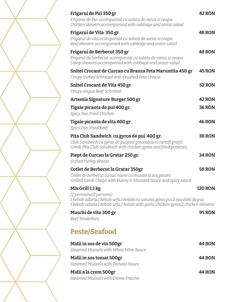| Frigarui de Pui 350 gr<br>Frigarui de Pui acompaniat cu salata de varza si ceapa<br>Chicken skewers accompanied with cabbage and onion salad                                                                  | <b>42 RON</b>  |
|---------------------------------------------------------------------------------------------------------------------------------------------------------------------------------------------------------------|----------------|
| Frigarui de Vita 350 gr<br>Frigarui de vita acompaniat cu salata de varza si ceapa<br>Beef skewers accompanied with cabbage and onion salad                                                                   | <b>48 RON</b>  |
| Frigarui de Berbecut 350 gr<br>Frigarui de berbecut acompaniat cu salata de varza si ceapa<br>Lamp skewers accompanied with cabbage and onion salad                                                           | <b>48 RON</b>  |
| Snitel Crocant de Curcan cu Branza Feta Maruntita 450 gr<br>Crispy Turkey Schnitzel with Crushed Feta Cheese                                                                                                  | <b>45 RON</b>  |
| Snitel Crocant de Vita 450 gr<br>Crispy Angus Beef Schnitzel                                                                                                                                                  | <b>52 RON</b>  |
| Artemis Signature Burger 500 gr                                                                                                                                                                               | <b>42 RON</b>  |
| Tigaie picanta de pui 400 gr.<br>Spicy Pan Fried Chicken                                                                                                                                                      | <b>36 RON</b>  |
| Tigaie picanta de vita 400 gr.<br>Spicy Pan Fried Beef                                                                                                                                                        | <b>46 RON</b>  |
| Pita Club Sandwich cu gyros de pui 400 gr.<br>Club Sandwich cu gyros de pui, pita greceasca si cartofi prajiti<br>Greek Pita Club Sandwich with chicken gyros and fried potatoes                              | <b>38 RON</b>  |
| Piept de Curcan la Gratar 250 gr.<br>Grilled Turkey Breast                                                                                                                                                    | <b>34 RON</b>  |
| Cotlet de Berbecut la Gratar 350gr<br>Cotlet de berbecut cu sos miere cu mustar si sos picant<br>Grilled Lamb Chops with Honey & Mustard Sauce and spicy sauce                                                | <b>58 RON</b>  |
| Mix Grill 1.1 kg<br>(2 persoane/2 persons)<br>1 kebab adana,1 kebab urfa,1 kebab cu usturoi, gyros pui,2 souvlaki de pui,<br>1 kebab adana,1 kebab urfa,1 kebab with garlic, chicken gyros,2 chicken skewers, | <b>120 RON</b> |
| Muschi de vita 300 gr<br>Beef Tenderloin                                                                                                                                                                      | <b>95 RON</b>  |
| <b>Peste/Seafood</b>                                                                                                                                                                                          |                |
| Midii in sos de vin 500gr<br>Steamed Mussels with White Wine Sauce                                                                                                                                            | <b>44 RON</b>  |
| Midii in sos tomat 500gr<br>Steamed Mussels with Tomato Sauce                                                                                                                                                 | <b>44 RON</b>  |
| Midii a la crem 500gr<br>Steamed Mussels with Creme Fraiche                                                                                                                                                   | <b>44 RON</b>  |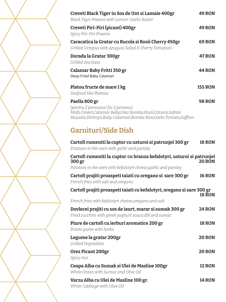| Creveti Black Tiger in Sos de Unt si Lamaie 400gr<br>Black Tiger Prawns with Lemon-Garlic Butter                       | <b>49 RON</b>  |
|------------------------------------------------------------------------------------------------------------------------|----------------|
| Creveti Piri-Piri (picant) 400gr<br>Spicy Piri-Piri Prawns                                                             | <b>49 RON</b>  |
| Caracatica la Gratar cu Rucola și Rosii Cherry 450gr<br>Grilled Octopus with Arugula Salad & Cherry Tomatoes           | <b>69 RON</b>  |
| Dorada la Gratar 300gr<br>Grilled Sea bass                                                                             | <b>47 RON</b>  |
| Calamar Baby Fritti 350 gr<br>Deep Fried Baby Calamari                                                                 | <b>44 RON</b>  |
| Platou fructe de mare 1 kg<br>Seafood Mix Plateau                                                                      | <b>155 RON</b> |
| Paella 800 gr<br>(pentru 2 persoane/for 2 persons)<br>Midii, Creveti, Calamar Baby, Orez Bomba, Rosii, Usturoi, Sofran | <b>98 RON</b>  |

| Cartofi rumeniti la cuptor cu usturoi si patrunjel 300 gr<br>Potatoes in the oven with garlic and parsley          | <b>18 RON</b> |
|--------------------------------------------------------------------------------------------------------------------|---------------|
| Cartofi rumeniti la cuptor cu branza kefalotyri, usturoi si patrunjel<br>300 gr                                    | <b>20 RON</b> |
| Potatoes in the oven with kefalotyri cheese, garlic and parsley                                                    |               |
| Cartofi prajiti proaspeti taiati cu oregano si sare 300 gr<br>French fries with salt and oregano                   | <b>16 RON</b> |
| Cartofi prajiti proaspeti taiati cu kefalotyri, oregano si sare 300 gr                                             | <b>18 RON</b> |
| French fries with kefalotyri cheese, oregano and salt                                                              |               |
| Dovlecei prajiti cu sos de iaurt, marar si sumak 300 gr<br>Fried zucchini with greek yoghurt sauce, dill and sumac | <b>24 RON</b> |
| Piure de cartofi cu ierburi aromatice 200 gr<br>Potato puree with herbs                                            | <b>18 RON</b> |
| Legume la gratar 200gr<br>Grilled Vegetables                                                                       | <b>20 RON</b> |
| Orez Picant 200gr<br>Spicy rice                                                                                    | <b>20 RON</b> |
| Ceapa Alba cu Sumak și Ulei de Masline 100gr<br>White Onion with Sumac and Olive Oil                               | <b>12 RON</b> |
| Varza Alba cu Ulei de Masline 100 gr.<br>White Cabbage with Olive Oil                                              | <b>14 RON</b> |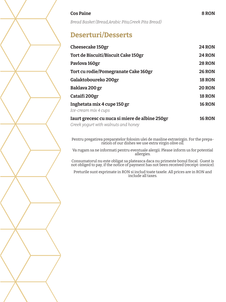### **Cos Paine 8 RON**

*Bread Basket (Bread,Arabic Pita,Greek Pita Bread)*

# **Deserturi/Desserts**

| <b>Cheesecake 150gr</b>              | <b>24 RON</b> |
|--------------------------------------|---------------|
| Tort de Biscuiti/Biscuit Cake 150gr  | <b>24 RON</b> |
| Pavlova 160gr                        | <b>28 RON</b> |
| Tort cu rodie/Pomegranate Cake 160gr | <b>26 RON</b> |
| Galaktoboureko 200gr                 | <b>18 RON</b> |
| Baklava 200 gr                       | <b>20 RON</b> |
| Cataifi 200gr                        | <b>18 RON</b> |
| Inghetata mix 4 cupe 150 gr          | <b>16 RON</b> |
| Ice-cream mix 4 cups                 |               |
|                                      |               |

# **Iaurt grecesc cu nuca si miere de albine 250gr 16 RON**

*Greek yogurt with walnuts and honey*

Pentru pregatirea preparatelor folosim ulei de masline extravirgin. For the preparation of our dishes we use extra virgin olive oil.

Va rugam sa ne informati pentru eventuale alergii. Please inform us for potential allergies.

Consumatorul nu este obligat sa plateasca daca nu primeste bonul fiscal. Guest is not obliged to pay, if the notice of payment has not been received (receipt-invoice).

Preturile sunt exprimate in RON si includ toate taxele. All prices are in RON and include all taxes.